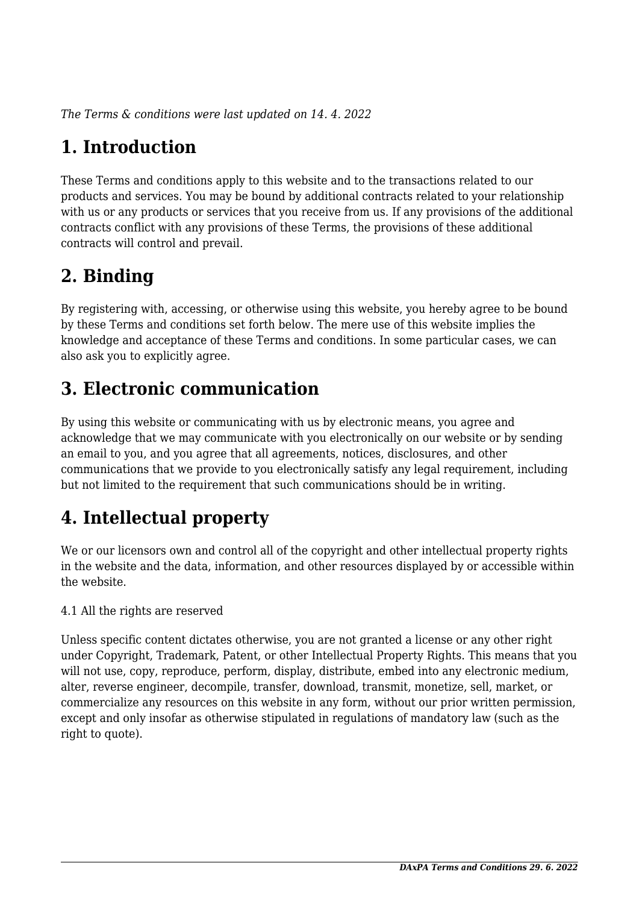*The Terms & conditions were last updated on 14. 4. 2022*

# **1. Introduction**

These Terms and conditions apply to this website and to the transactions related to our products and services. You may be bound by additional contracts related to your relationship with us or any products or services that you receive from us. If any provisions of the additional contracts conflict with any provisions of these Terms, the provisions of these additional contracts will control and prevail.

## **2. Binding**

By registering with, accessing, or otherwise using this website, you hereby agree to be bound by these Terms and conditions set forth below. The mere use of this website implies the knowledge and acceptance of these Terms and conditions. In some particular cases, we can also ask you to explicitly agree.

## **3. Electronic communication**

By using this website or communicating with us by electronic means, you agree and acknowledge that we may communicate with you electronically on our website or by sending an email to you, and you agree that all agreements, notices, disclosures, and other communications that we provide to you electronically satisfy any legal requirement, including but not limited to the requirement that such communications should be in writing.

# **4. Intellectual property**

We or our licensors own and control all of the copyright and other intellectual property rights in the website and the data, information, and other resources displayed by or accessible within the website.

4.1 All the rights are reserved

Unless specific content dictates otherwise, you are not granted a license or any other right under Copyright, Trademark, Patent, or other Intellectual Property Rights. This means that you will not use, copy, reproduce, perform, display, distribute, embed into any electronic medium, alter, reverse engineer, decompile, transfer, download, transmit, monetize, sell, market, or commercialize any resources on this website in any form, without our prior written permission, except and only insofar as otherwise stipulated in regulations of mandatory law (such as the right to quote).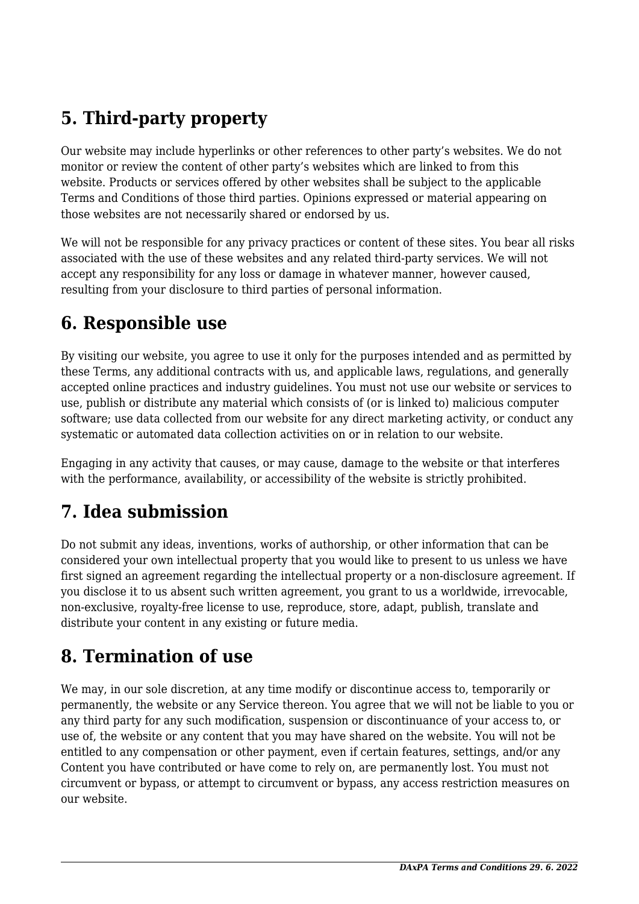# **5. Third-party property**

Our website may include hyperlinks or other references to other party's websites. We do not monitor or review the content of other party's websites which are linked to from this website. Products or services offered by other websites shall be subject to the applicable Terms and Conditions of those third parties. Opinions expressed or material appearing on those websites are not necessarily shared or endorsed by us.

We will not be responsible for any privacy practices or content of these sites. You bear all risks associated with the use of these websites and any related third-party services. We will not accept any responsibility for any loss or damage in whatever manner, however caused, resulting from your disclosure to third parties of personal information.

#### **6. Responsible use**

By visiting our website, you agree to use it only for the purposes intended and as permitted by these Terms, any additional contracts with us, and applicable laws, regulations, and generally accepted online practices and industry guidelines. You must not use our website or services to use, publish or distribute any material which consists of (or is linked to) malicious computer software; use data collected from our website for any direct marketing activity, or conduct any systematic or automated data collection activities on or in relation to our website.

Engaging in any activity that causes, or may cause, damage to the website or that interferes with the performance, availability, or accessibility of the website is strictly prohibited.

## **7. Idea submission**

Do not submit any ideas, inventions, works of authorship, or other information that can be considered your own intellectual property that you would like to present to us unless we have first signed an agreement regarding the intellectual property or a non-disclosure agreement. If you disclose it to us absent such written agreement, you grant to us a worldwide, irrevocable, non-exclusive, royalty-free license to use, reproduce, store, adapt, publish, translate and distribute your content in any existing or future media.

### **8. Termination of use**

We may, in our sole discretion, at any time modify or discontinue access to, temporarily or permanently, the website or any Service thereon. You agree that we will not be liable to you or any third party for any such modification, suspension or discontinuance of your access to, or use of, the website or any content that you may have shared on the website. You will not be entitled to any compensation or other payment, even if certain features, settings, and/or any Content you have contributed or have come to rely on, are permanently lost. You must not circumvent or bypass, or attempt to circumvent or bypass, any access restriction measures on our website.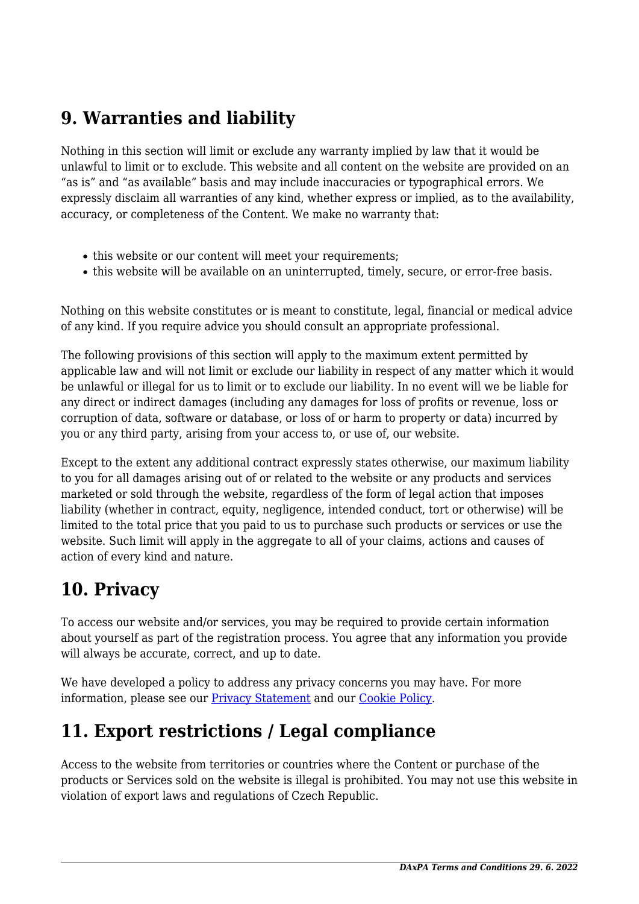### **9. Warranties and liability**

Nothing in this section will limit or exclude any warranty implied by law that it would be unlawful to limit or to exclude. This website and all content on the website are provided on an "as is" and "as available" basis and may include inaccuracies or typographical errors. We expressly disclaim all warranties of any kind, whether express or implied, as to the availability, accuracy, or completeness of the Content. We make no warranty that:

- this website or our content will meet your requirements;
- this website will be available on an uninterrupted, timely, secure, or error-free basis.

Nothing on this website constitutes or is meant to constitute, legal, financial or medical advice of any kind. If you require advice you should consult an appropriate professional.

The following provisions of this section will apply to the maximum extent permitted by applicable law and will not limit or exclude our liability in respect of any matter which it would be unlawful or illegal for us to limit or to exclude our liability. In no event will we be liable for any direct or indirect damages (including any damages for loss of profits or revenue, loss or corruption of data, software or database, or loss of or harm to property or data) incurred by you or any third party, arising from your access to, or use of, our website.

Except to the extent any additional contract expressly states otherwise, our maximum liability to you for all damages arising out of or related to the website or any products and services marketed or sold through the website, regardless of the form of legal action that imposes liability (whether in contract, equity, negligence, intended conduct, tort or otherwise) will be limited to the total price that you paid to us to purchase such products or services or use the website. Such limit will apply in the aggregate to all of your claims, actions and causes of action of every kind and nature.

### **10. Privacy**

To access our website and/or services, you may be required to provide certain information about yourself as part of the registration process. You agree that any information you provide will always be accurate, correct, and up to date.

We have developed a policy to address any privacy concerns you may have. For more information, please see our **Privacy Statement** and our [Cookie Policy](https://daxpa.cz/zasady-cookies-eu/).

## **11. Export restrictions / Legal compliance**

Access to the website from territories or countries where the Content or purchase of the products or Services sold on the website is illegal is prohibited. You may not use this website in violation of export laws and regulations of Czech Republic.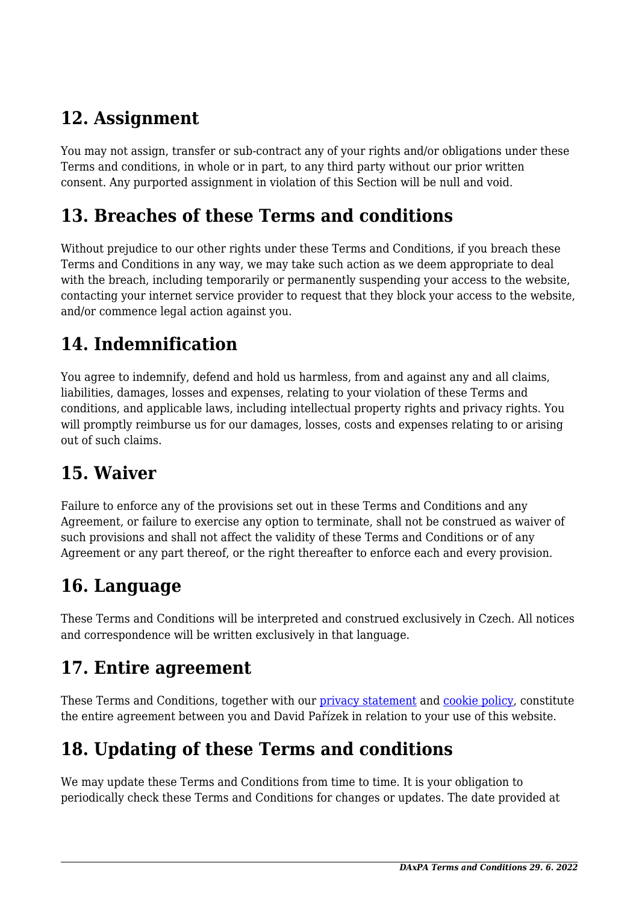### **12. Assignment**

You may not assign, transfer or sub-contract any of your rights and/or obligations under these Terms and conditions, in whole or in part, to any third party without our prior written consent. Any purported assignment in violation of this Section will be null and void.

#### **13. Breaches of these Terms and conditions**

Without prejudice to our other rights under these Terms and Conditions, if you breach these Terms and Conditions in any way, we may take such action as we deem appropriate to deal with the breach, including temporarily or permanently suspending your access to the website, contacting your internet service provider to request that they block your access to the website, and/or commence legal action against you.

# **14. Indemnification**

You agree to indemnify, defend and hold us harmless, from and against any and all claims, liabilities, damages, losses and expenses, relating to your violation of these Terms and conditions, and applicable laws, including intellectual property rights and privacy rights. You will promptly reimburse us for our damages, losses, costs and expenses relating to or arising out of such claims.

### **15. Waiver**

Failure to enforce any of the provisions set out in these Terms and Conditions and any Agreement, or failure to exercise any option to terminate, shall not be construed as waiver of such provisions and shall not affect the validity of these Terms and Conditions or of any Agreement or any part thereof, or the right thereafter to enforce each and every provision.

### **16. Language**

These Terms and Conditions will be interpreted and construed exclusively in Czech. All notices and correspondence will be written exclusively in that language.

#### **17. Entire agreement**

These Terms and Conditions, together with our privacy statement and [cookie policy,](https://daxpa.cz/zasady-cookies-eu/) constitute the entire agreement between you and David Pařízek in relation to your use of this website.

# **18. Updating of these Terms and conditions**

We may update these Terms and Conditions from time to time. It is your obligation to periodically check these Terms and Conditions for changes or updates. The date provided at